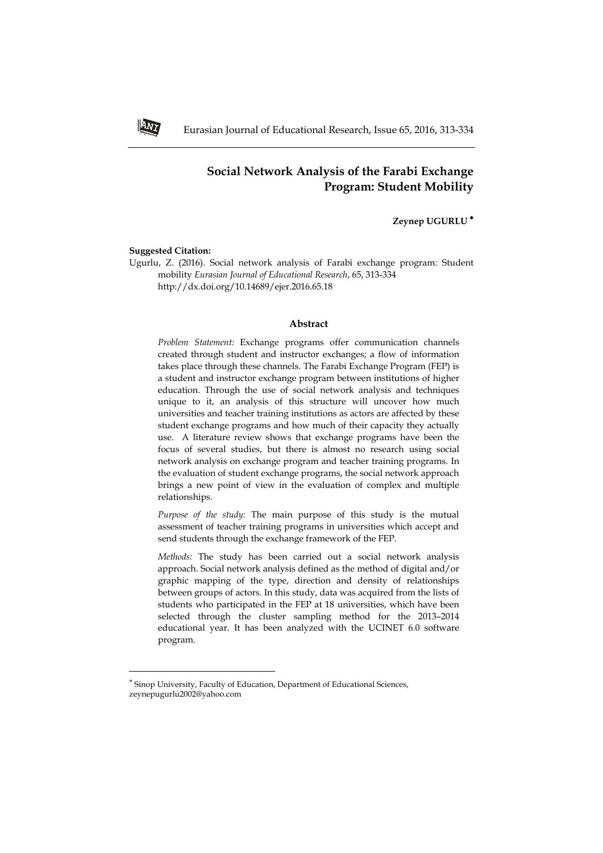# **Social Network Analysis of the Farabi Exchange Program: Student Mobility**

**Zeynep UGURLU**

# **Suggested Citation:**

 $\overline{\phantom{a}}$ 

Ugurlu, Z. (2016). Social network analysis of Farabi exchange program: Student mobility *Eurasian Journal of Educational Research*, 65, 313-334 http://dx.doi.org/10.14689/ejer.2016.65.18

### **Abstract**

*Problem Statement:* Exchange programs offer communication channels created through student and instructor exchanges; a flow of information takes place through these channels. The Farabi Exchange Program (FEP) is a student and instructor exchange program between institutions of higher education. Through the use of social network analysis and techniques unique to it, an analysis of this structure will uncover how much universities and teacher training institutions as actors are affected by these student exchange programs and how much of their capacity they actually use. A literature review shows that exchange programs have been the focus of several studies, but there is almost no research using social network analysis on exchange program and teacher training programs. In the evaluation of student exchange programs, the social network approach brings a new point of view in the evaluation of complex and multiple relationships.

*Purpose of the study:* The main purpose of this study is the mutual assessment of teacher training programs in universities which accept and send students through the exchange framework of the FEP.

*Methods:* The study has been carried out a social network analysis approach. Social network analysis defined as the method of digital and/or graphic mapping of the type, direction and density of relationships between groups of actors. In this study, data was acquired from the lists of students who participated in the FEP at 18 universities, which have been selected through the cluster sampling method for the 2013–2014 educational year. It has been analyzed with the UCINET 6.0 software program.



Sinop University, Faculty of Education, Department of Educational Sciences, zeynepugurlu2002@yahoo.com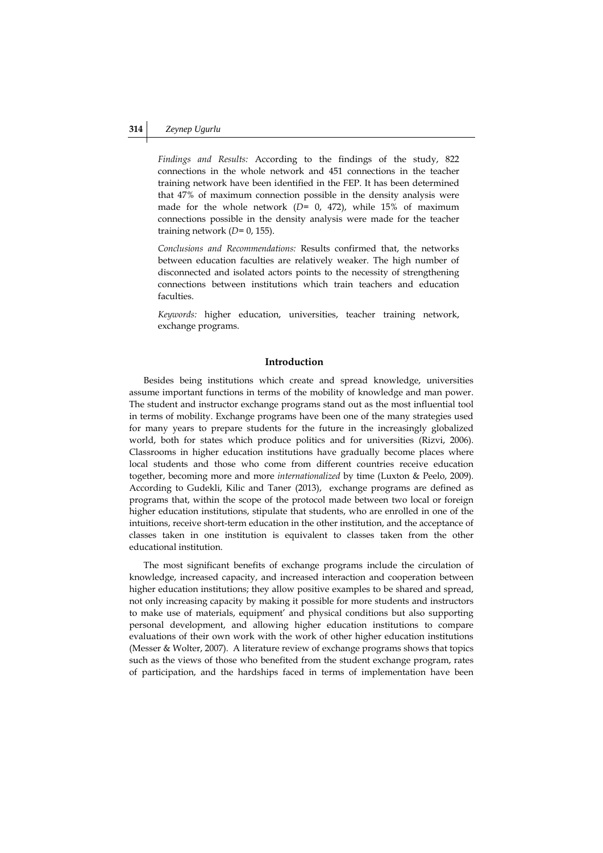*Findings and Results:* According to the findings of the study, 822 connections in the whole network and 451 connections in the teacher training network have been identified in the FEP. It has been determined that 47% of maximum connection possible in the density analysis were made for the whole network (*D*= 0, 472), while 15% of maximum connections possible in the density analysis were made for the teacher training network (*D*= 0, 155).

*Conclusions and Recommendations:* Results confirmed that, the networks between education faculties are relatively weaker. The high number of disconnected and isolated actors points to the necessity of strengthening connections between institutions which train teachers and education faculties.

*Keywords:* higher education, universities, teacher training network, exchange programs.

### **Introduction**

Besides being institutions which create and spread knowledge, universities assume important functions in terms of the mobility of knowledge and man power. The student and instructor exchange programs stand out as the most influential tool in terms of mobility. Exchange programs have been one of the many strategies used for many years to prepare students for the future in the increasingly globalized world, both for states which produce politics and for universities (Rizvi, 2006). Classrooms in higher education institutions have gradually become places where local students and those who come from different countries receive education together, becoming more and more *internationalized* by time (Luxton & Peelo, 2009). According to Gudekli, Kilic and Taner (2013), exchange programs are defined as programs that, within the scope of the protocol made between two local or foreign higher education institutions, stipulate that students, who are enrolled in one of the intuitions, receive short-term education in the other institution, and the acceptance of classes taken in one institution is equivalent to classes taken from the other educational institution.

The most significant benefits of exchange programs include the circulation of knowledge, increased capacity, and increased interaction and cooperation between higher education institutions; they allow positive examples to be shared and spread, not only increasing capacity by making it possible for more students and instructors to make use of materials, equipment' and physical conditions but also supporting personal development, and allowing higher education institutions to compare evaluations of their own work with the work of other higher education institutions (Messer & Wolter, 2007). A literature review of exchange programs shows that topics such as the views of those who benefited from the student exchange program, rates of participation, and the hardships faced in terms of implementation have been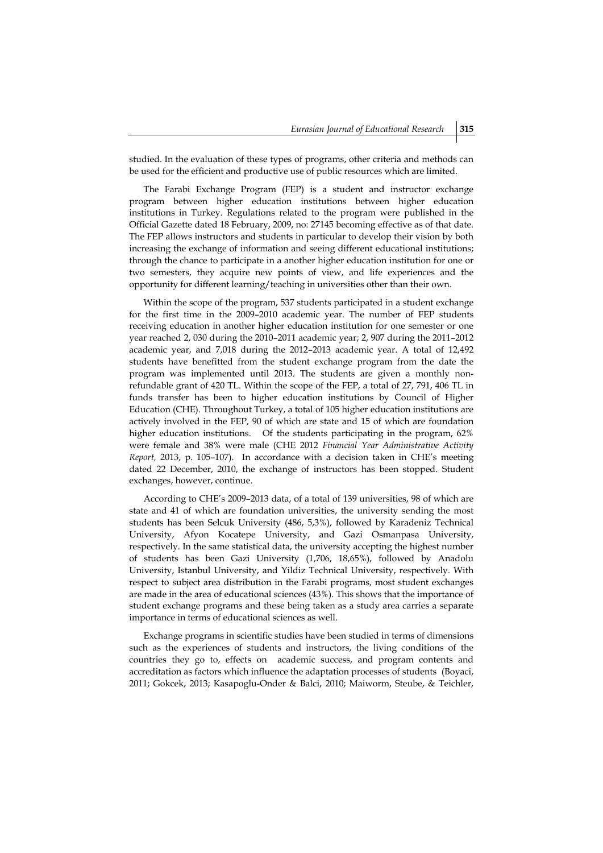studied. In the evaluation of these types of programs, other criteria and methods can be used for the efficient and productive use of public resources which are limited.

The Farabi Exchange Program (FEP) is a student and instructor exchange program between higher education institutions between higher education institutions in Turkey. Regulations related to the program were published in the Official Gazette dated 18 February, 2009, no: 27145 becoming effective as of that date. The FEP allows instructors and students in particular to develop their vision by both increasing the exchange of information and seeing different educational institutions; through the chance to participate in a another higher education institution for one or two semesters, they acquire new points of view, and life experiences and the opportunity for different learning/teaching in universities other than their own.

Within the scope of the program, 537 students participated in a student exchange for the first time in the 2009–2010 academic year. The number of FEP students receiving education in another higher education institution for one semester or one year reached 2, 030 during the 2010–2011 academic year; 2, 907 during the 2011–2012 academic year, and 7,018 during the 2012–2013 academic year. A total of 12,492 students have benefitted from the student exchange program from the date the program was implemented until 2013. The students are given a monthly nonrefundable grant of 420 TL. Within the scope of the FEP, a total of 27, 791, 406 TL in funds transfer has been to higher education institutions by Council of Higher Education (CHE). Throughout Turkey, a total of 105 higher education institutions are actively involved in the FEP, 90 of which are state and 15 of which are foundation higher education institutions. Of the students participating in the program, 62% were female and 38% were male (CHE 2012 *Financial Year Administrative Activity Report,* 2013, p. 105–107). In accordance with a decision taken in CHE's meeting dated 22 December, 2010, the exchange of instructors has been stopped. Student exchanges, however, continue.

According to CHE's 2009–2013 data, of a total of 139 universities, 98 of which are state and 41 of which are foundation universities, the university sending the most students has been Selcuk University (486, 5,3%), followed by Karadeniz Technical University, Afyon Kocatepe University, and Gazi Osmanpasa University, respectively. In the same statistical data, the university accepting the highest number of students has been Gazi University (1,706, 18,65%), followed by Anadolu University, Istanbul University, and Yildiz Technical University, respectively. With respect to subject area distribution in the Farabi programs, most student exchanges are made in the area of educational sciences (43%). This shows that the importance of student exchange programs and these being taken as a study area carries a separate importance in terms of educational sciences as well.

Exchange programs in scientific studies have been studied in terms of dimensions such as the experiences of students and instructors, the living conditions of the countries they go to, effects on academic success, and program contents and accreditation as factors which influence the adaptation processes of students (Boyaci, 2011; Gokcek, 2013; Kasapoglu-Onder & Balci, 2010; Maiworm, Steube, & Teichler,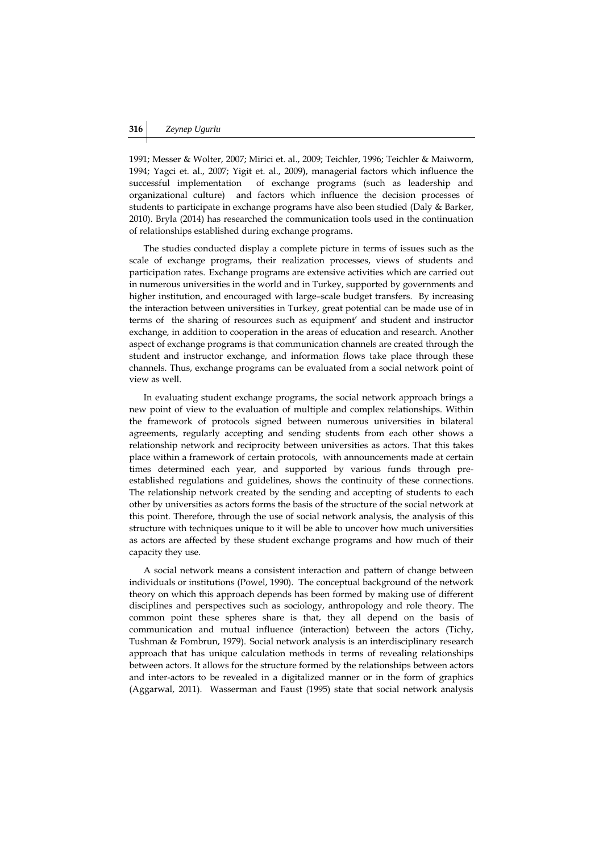1991; Messer & Wolter, 2007; Mirici et. al., 2009; Teichler, 1996; Teichler & Maiworm, 1994; Yagci et. al., 2007; Yigit et. al., 2009), managerial factors which influence the successful implementation of exchange programs (such as leadership and organizational culture) and factors which influence the decision processes of students to participate in exchange programs have also been studied (Daly & Barker, 2010). Bryla (2014) has researched the communication tools used in the continuation of relationships established during exchange programs.

The studies conducted display a complete picture in terms of issues such as the scale of exchange programs, their realization processes, views of students and participation rates. Exchange programs are extensive activities which are carried out in numerous universities in the world and in Turkey, supported by governments and higher institution, and encouraged with large–scale budget transfers. By increasing the interaction between universities in Turkey, great potential can be made use of in terms of the sharing of resources such as equipment' and student and instructor exchange, in addition to cooperation in the areas of education and research. Another aspect of exchange programs is that communication channels are created through the student and instructor exchange, and information flows take place through these channels. Thus, exchange programs can be evaluated from a social network point of view as well.

In evaluating student exchange programs, the social network approach brings a new point of view to the evaluation of multiple and complex relationships. Within the framework of protocols signed between numerous universities in bilateral agreements, regularly accepting and sending students from each other shows a relationship network and reciprocity between universities as actors. That this takes place within a framework of certain protocols, with announcements made at certain times determined each year, and supported by various funds through preestablished regulations and guidelines, shows the continuity of these connections. The relationship network created by the sending and accepting of students to each other by universities as actors forms the basis of the structure of the social network at this point. Therefore, through the use of social network analysis, the analysis of this structure with techniques unique to it will be able to uncover how much universities as actors are affected by these student exchange programs and how much of their capacity they use.

A social network means a consistent interaction and pattern of change between individuals or institutions (Powel, 1990). The conceptual background of the network theory on which this approach depends has been formed by making use of different disciplines and perspectives such as sociology, anthropology and role theory. The common point these spheres share is that, they all depend on the basis of communication and mutual influence (interaction) between the actors (Tichy, Tushman & Fombrun, 1979). Social network analysis is an interdisciplinary research approach that has unique calculation methods in terms of revealing relationships between actors. It allows for the structure formed by the relationships between actors and inter-actors to be revealed in a digitalized manner or in the form of graphics (Aggarwal, 2011). Wasserman and Faust (1995) state that social network analysis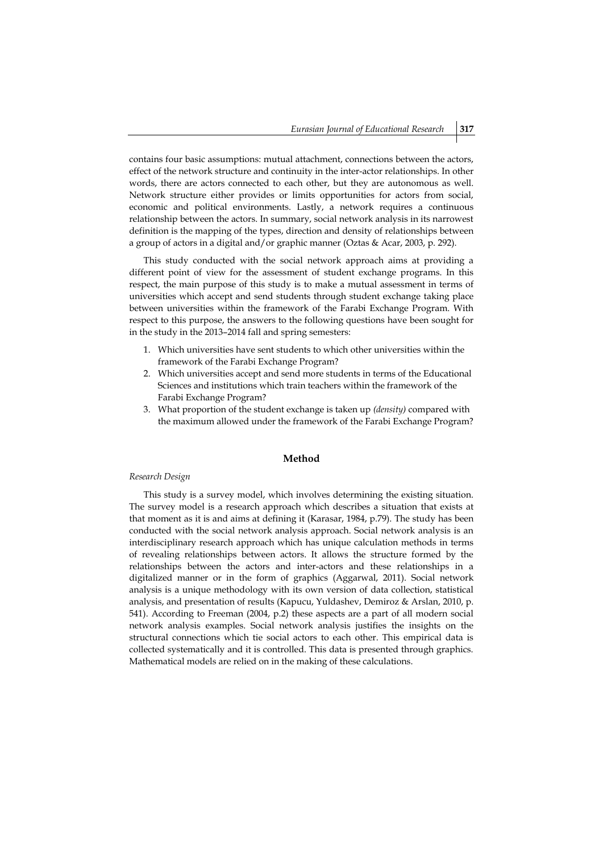contains four basic assumptions: mutual attachment, connections between the actors, effect of the network structure and continuity in the inter-actor relationships. In other words, there are actors connected to each other, but they are autonomous as well. Network structure either provides or limits opportunities for actors from social, economic and political environments. Lastly, a network requires a continuous relationship between the actors. In summary, social network analysis in its narrowest definition is the mapping of the types, direction and density of relationships between a group of actors in a digital and/or graphic manner (Oztas & Acar, 2003, p. 292).

This study conducted with the social network approach aims at providing a different point of view for the assessment of student exchange programs. In this respect, the main purpose of this study is to make a mutual assessment in terms of universities which accept and send students through student exchange taking place between universities within the framework of the Farabi Exchange Program. With respect to this purpose, the answers to the following questions have been sought for in the study in the 2013–2014 fall and spring semesters:

- 1. Which universities have sent students to which other universities within the framework of the Farabi Exchange Program?
- 2. Which universities accept and send more students in terms of the Educational Sciences and institutions which train teachers within the framework of the Farabi Exchange Program?
- 3. What proportion of the student exchange is taken up *(density)* compared with the maximum allowed under the framework of the Farabi Exchange Program?

### **Method**

#### *Research Design*

This study is a survey model, which involves determining the existing situation. The survey model is a research approach which describes a situation that exists at that moment as it is and aims at defining it (Karasar, 1984, p.79). The study has been conducted with the social network analysis approach. Social network analysis is an interdisciplinary research approach which has unique calculation methods in terms of revealing relationships between actors. It allows the structure formed by the relationships between the actors and inter-actors and these relationships in a digitalized manner or in the form of graphics (Aggarwal, 2011). Social network analysis is a unique methodology with its own version of data collection, statistical analysis, and presentation of results (Kapucu, Yuldashev, Demiroz & Arslan, 2010, p. 541). According to Freeman (2004, p.2) these aspects are a part of all modern social network analysis examples. Social network analysis justifies the insights on the structural connections which tie social actors to each other. This empirical data is collected systematically and it is controlled. This data is presented through graphics. Mathematical models are relied on in the making of these calculations.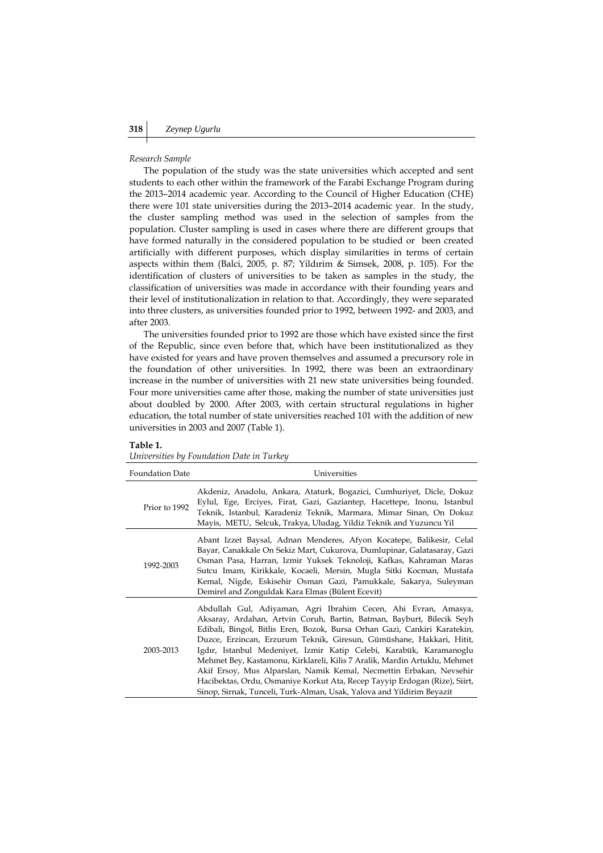#### *Research Sample*

The population of the study was the state universities which accepted and sent students to each other within the framework of the Farabi Exchange Program during the 2013–2014 academic year. According to the Council of Higher Education (CHE) there were 101 state universities during the 2013–2014 academic year. In the study, the cluster sampling method was used in the selection of samples from the population. Cluster sampling is used in cases where there are different groups that have formed naturally in the considered population to be studied or been created artificially with different purposes, which display similarities in terms of certain aspects within them (Balci, 2005, p. 87; Yildırim & Simsek, 2008, p. 105). For the identification of clusters of universities to be taken as samples in the study, the classification of universities was made in accordance with their founding years and their level of institutionalization in relation to that. Accordingly, they were separated into three clusters, as universities founded prior to 1992, between 1992- and 2003, and after 2003.

The universities founded prior to 1992 are those which have existed since the first of the Republic, since even before that, which have been institutionalized as they have existed for years and have proven themselves and assumed a precursory role in the foundation of other universities. In 1992, there was been an extraordinary increase in the number of universities with 21 new state universities being founded. Four more universities came after those, making the number of state universities just about doubled by 2000. After 2003, with certain structural regulations in higher education, the total number of state universities reached 101 with the addition of new universities in 2003 and 2007 (Table 1).

#### **Table 1.**

*Universities by Foundation Date in Turkey*

| <b>Foundation Date</b> | Universities                                                                                                                                                                                                                                                                                                                                                                                                                                                                                                                                                                                                                                                                   |  |  |  |  |  |
|------------------------|--------------------------------------------------------------------------------------------------------------------------------------------------------------------------------------------------------------------------------------------------------------------------------------------------------------------------------------------------------------------------------------------------------------------------------------------------------------------------------------------------------------------------------------------------------------------------------------------------------------------------------------------------------------------------------|--|--|--|--|--|
| Prior to 1992          | Akdeniz, Anadolu, Ankara, Ataturk, Bogazici, Cumhuriyet, Dicle, Dokuz<br>Eylul, Ege, Erciyes, Firat, Gazi, Gaziantep, Hacettepe, Inonu, Istanbul<br>Teknik, Istanbul, Karadeniz Teknik, Marmara, Mimar Sinan, On Dokuz<br>Mayis, METU, Selcuk, Trakya, Uludag, Yildiz Teknik and Yuzuncu Yil                                                                                                                                                                                                                                                                                                                                                                                   |  |  |  |  |  |
| 1992-2003              | Abant Izzet Baysal, Adnan Menderes, Afyon Kocatepe, Balikesir, Celal<br>Bayar, Canakkale On Sekiz Mart, Cukurova, Dumlupinar, Galatasaray, Gazi<br>Osman Pasa, Harran, Izmir Yuksek Teknoloji, Kafkas, Kahraman Maras<br>Sutcu Imam, Kirikkale, Kocaeli, Mersin, Mugla Sitki Kocman, Mustafa<br>Kemal, Nigde, Eskisehir Osman Gazi, Pamukkale, Sakarya, Suleyman<br>Demirel and Zonguldak Kara Elmas (Bülent Ecevit)                                                                                                                                                                                                                                                           |  |  |  |  |  |
| 2003-2013              | Abdullah Gul, Adiyaman, Agri Ibrahim Cecen, Ahi Evran, Amasya,<br>Aksaray, Ardahan, Artvin Coruh, Bartin, Batman, Bayburt, Bilecik Seyh<br>Edibali, Bingol, Bitlis Eren, Bozok, Bursa Orhan Gazi, Cankiri Karatekin,<br>Duzce, Erzincan, Erzurum Teknik, Giresun, Gümüshane, Hakkari, Hitit,<br>Igdır, Istanbul Medeniyet, İzmir Katip Celebi, Karabük, Karamanoglu<br>Mehmet Bey, Kastamonu, Kirklareli, Kilis 7 Aralik, Mardin Artuklu, Mehmet<br>Akif Ersoy, Mus Alparslan, Namik Kemal, Necmettin Erbakan, Nevsehir<br>Hacibektas, Ordu, Osmaniye Korkut Ata, Recep Tayyip Erdogan (Rize), Siirt,<br>Sinop, Sirnak, Tunceli, Turk-Alman, Usak, Yalova and Yildirim Beyazit |  |  |  |  |  |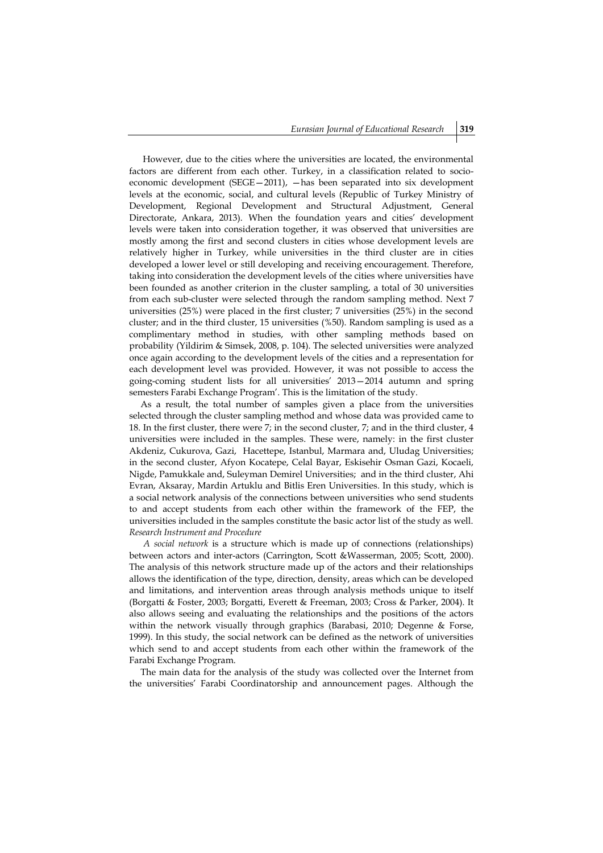However, due to the cities where the universities are located, the environmental factors are different from each other. Turkey, in a classification related to socioeconomic development (SEGE—2011), —has been separated into six development levels at the economic, social, and cultural levels (Republic of Turkey Ministry of Development, Regional Development and Structural Adjustment, General Directorate, Ankara, 2013). When the foundation years and cities' development levels were taken into consideration together, it was observed that universities are mostly among the first and second clusters in cities whose development levels are relatively higher in Turkey, while universities in the third cluster are in cities developed a lower level or still developing and receiving encouragement. Therefore, taking into consideration the development levels of the cities where universities have been founded as another criterion in the cluster sampling, a total of 30 universities from each sub-cluster were selected through the random sampling method. Next 7 universities (25%) were placed in the first cluster; 7 universities (25%) in the second cluster; and in the third cluster, 15 universities (%50). Random sampling is used as a complimentary method in studies, with other sampling methods based on probability (Yildirim & Simsek, 2008, p. 104). The selected universities were analyzed once again according to the development levels of the cities and a representation for each development level was provided. However, it was not possible to access the going-coming student lists for all universities' 2013—2014 autumn and spring semesters Farabi Exchange Program'. This is the limitation of the study.

 As a result, the total number of samples given a place from the universities selected through the cluster sampling method and whose data was provided came to 18. In the first cluster, there were 7; in the second cluster, 7; and in the third cluster, 4 universities were included in the samples. These were, namely: in the first cluster Akdeniz, Cukurova, Gazi, Hacettepe, Istanbul, Marmara and, Uludag Universities; in the second cluster, Afyon Kocatepe, Celal Bayar, Eskisehir Osman Gazi, Kocaeli, Nigde, Pamukkale and, Suleyman Demirel Universities; and in the third cluster, Ahi Evran, Aksaray, Mardin Artuklu and Bitlis Eren Universities. In this study, which is a social network analysis of the connections between universities who send students to and accept students from each other within the framework of the FEP, the universities included in the samples constitute the basic actor list of the study as well. *Research Instrument and Procedure*

*A social network* is a structure which is made up of connections (relationships) between actors and inter-actors (Carrington, Scott &Wasserman, 2005; Scott, 2000). The analysis of this network structure made up of the actors and their relationships allows the identification of the type, direction, density, areas which can be developed and limitations, and intervention areas through analysis methods unique to itself (Borgatti & Foster, 2003; Borgatti, Everett & Freeman, 2003; Cross & Parker, 2004). It also allows seeing and evaluating the relationships and the positions of the actors within the network visually through graphics (Barabasi, 2010; Degenne & Forse, 1999). In this study, the social network can be defined as the network of universities which send to and accept students from each other within the framework of the Farabi Exchange Program.

 The main data for the analysis of the study was collected over the Internet from the universities' Farabi Coordinatorship and announcement pages. Although the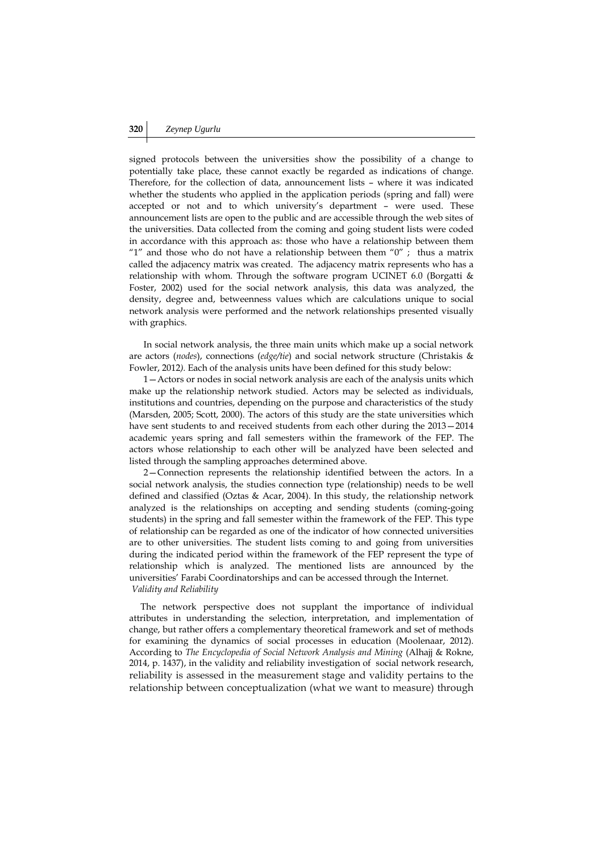signed protocols between the universities show the possibility of a change to potentially take place, these cannot exactly be regarded as indications of change. Therefore, for the collection of data, announcement lists – where it was indicated whether the students who applied in the application periods (spring and fall) were accepted or not and to which university's department – were used. These announcement lists are open to the public and are accessible through the web sites of the universities. Data collected from the coming and going student lists were coded in accordance with this approach as: those who have a relationship between them "1" and those who do not have a relationship between them "0" ; thus a matrix called the adjacency matrix was created. The adjacency matrix represents who has a relationship with whom. Through the software program UCINET 6.0 (Borgatti & Foster, 2002) used for the social network analysis, this data was analyzed, the density, degree and, betweenness values which are calculations unique to social network analysis were performed and the network relationships presented visually with graphics.

In social network analysis, the three main units which make up a social network are actors (*nodes*), connections (*edge/tie*) and social network structure (Christakis & Fowler, 2012*).* Each of the analysis units have been defined for this study below:

1—Actors or nodes in social network analysis are each of the analysis units which make up the relationship network studied. Actors may be selected as individuals, institutions and countries, depending on the purpose and characteristics of the study (Marsden, 2005; Scott, 2000). The actors of this study are the state universities which have sent students to and received students from each other during the 2013—2014 academic years spring and fall semesters within the framework of the FEP. The actors whose relationship to each other will be analyzed have been selected and listed through the sampling approaches determined above.

2—Connection represents the relationship identified between the actors. In a social network analysis, the studies connection type (relationship) needs to be well defined and classified (Oztas & Acar, 2004). In this study, the relationship network analyzed is the relationships on accepting and sending students (coming-going students) in the spring and fall semester within the framework of the FEP. This type of relationship can be regarded as one of the indicator of how connected universities are to other universities. The student lists coming to and going from universities during the indicated period within the framework of the FEP represent the type of relationship which is analyzed. The mentioned lists are announced by the universities' Farabi Coordinatorships and can be accessed through the Internet. *Validity and Reliability*

 The network perspective does not supplant the importance of individual attributes in understanding the selection, interpretation, and implementation of change, but rather offers a complementary theoretical framework and set of methods for examining the dynamics of social processes in education (Moolenaar, 2012). According to *The Encyclopedia of Social Network Analysis and Mining* (Alhajj & Rokne, 2014, p. 1437), in the validity and reliability investigation of social network research, reliability is assessed in the measurement stage and validity pertains to the relationship between conceptualization (what we want to measure) through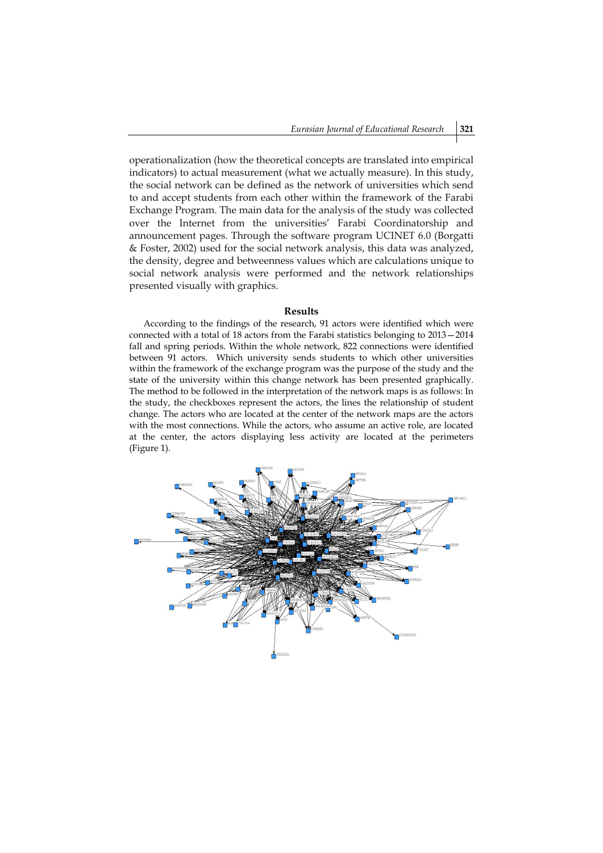operationalization (how the theoretical concepts are translated into empirical indicators) to actual measurement (what we actually measure). In this study, the social network can be defined as the network of universities which send to and accept students from each other within the framework of the Farabi Exchange Program. The main data for the analysis of the study was collected over the Internet from the universities' Farabi Coordinatorship and announcement pages. Through the software program UCINET 6.0 (Borgatti & Foster, 2002) used for the social network analysis, this data was analyzed, the density, degree and betweenness values which are calculations unique to social network analysis were performed and the network relationships presented visually with graphics.

### **Results**

According to the findings of the research, 91 actors were identified which were connected with a total of 18 actors from the Farabi statistics belonging to 2013—2014 fall and spring periods. Within the whole network, 822 connections were identified between 91 actors. Which university sends students to which other universities within the framework of the exchange program was the purpose of the study and the state of the university within this change network has been presented graphically. The method to be followed in the interpretation of the network maps is as follows: In the study, the checkboxes represent the actors, the lines the relationship of student change. The actors who are located at the center of the network maps are the actors with the most connections. While the actors, who assume an active role, are located at the center, the actors displaying less activity are located at the perimeters (Figure 1).

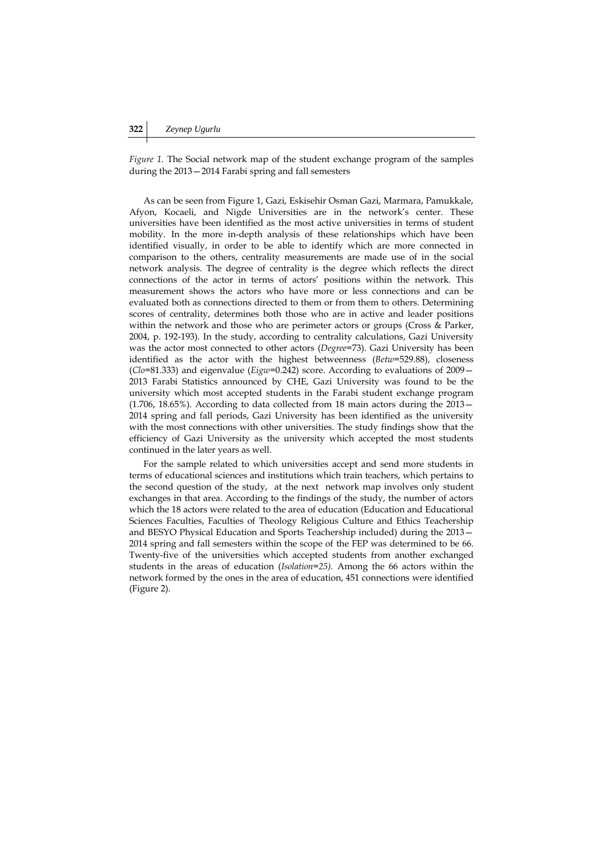*Figure 1.* The Social network map of the student exchange program of the samples during the 2013—2014 Farabi spring and fall semesters

As can be seen from Figure 1, Gazi, Eskisehir Osman Gazi, Marmara, Pamukkale, Afyon, Kocaeli, and Nigde Universities are in the network's center. These universities have been identified as the most active universities in terms of student mobility. In the more in-depth analysis of these relationships which have been identified visually, in order to be able to identify which are more connected in comparison to the others, centrality measurements are made use of in the social network analysis. The degree of centrality is the degree which reflects the direct connections of the actor in terms of actors' positions within the network. This measurement shows the actors who have more or less connections and can be evaluated both as connections directed to them or from them to others. Determining scores of centrality, determines both those who are in active and leader positions within the network and those who are perimeter actors or groups (Cross & Parker, 2004, p. 192-193). In the study, according to centrality calculations, Gazi University was the actor most connected to other actors (*Degree*=73). Gazi University has been identified as the actor with the highest betweenness (*Betw*=529.88), closeness (*Clo*=81.333) and eigenvalue (*Eigw*=0.242) score. According to evaluations of 2009— 2013 Farabi Statistics announced by CHE, Gazi University was found to be the university which most accepted students in the Farabi student exchange program (1.706, 18.65%). According to data collected from 18 main actors during the 2013— 2014 spring and fall periods, Gazi University has been identified as the university with the most connections with other universities. The study findings show that the efficiency of Gazi University as the university which accepted the most students continued in the later years as well.

For the sample related to which universities accept and send more students in terms of educational sciences and institutions which train teachers, which pertains to the second question of the study, at the next network map involves only student exchanges in that area. According to the findings of the study, the number of actors which the 18 actors were related to the area of education (Education and Educational Sciences Faculties, Faculties of Theology Religious Culture and Ethics Teachership and BESYO Physical Education and Sports Teachership included) during the 2013— 2014 spring and fall semesters within the scope of the FEP was determined to be 66. Twenty-five of the universities which accepted students from another exchanged students in the areas of education (*Isolation=25).* Among the 66 actors within the network formed by the ones in the area of education, 451 connections were identified (Figure 2).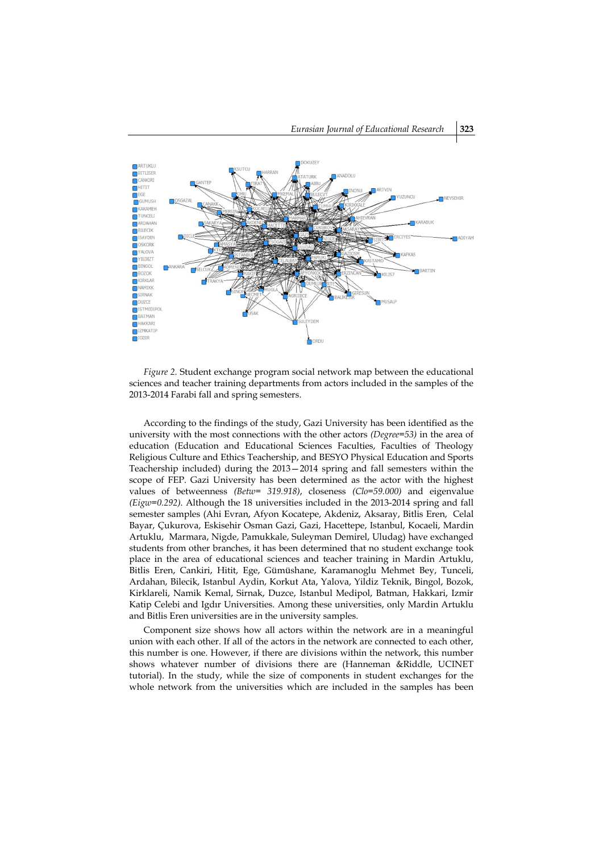

*Figure 2.* Student exchange program social network map between the educational sciences and teacher training departments from actors included in the samples of the 2013-2014 Farabi fall and spring semesters.

According to the findings of the study, Gazi University has been identified as the university with the most connections with the other actors *(Degree=53)* in the area of education (Education and Educational Sciences Faculties, Faculties of Theology Religious Culture and Ethics Teachership, and BESYO Physical Education and Sports Teachership included) during the 2013—2014 spring and fall semesters within the scope of FEP. Gazi University has been determined as the actor with the highest values of betweenness *(Betw= 319.918)*, closeness *(Clo=59.000)* and eigenvalue *(Eigw=0.292)*. Although the 18 universities included in the 2013-2014 spring and fall semester samples (Ahi Evran, Afyon Kocatepe, Akdeniz, Aksaray, Bitlis Eren, Celal Bayar, Çukurova, Eskisehir Osman Gazi, Gazi, Hacettepe, Istanbul, Kocaeli, Mardin Artuklu, Marmara, Nigde, Pamukkale, Suleyman Demirel, Uludag) have exchanged students from other branches, it has been determined that no student exchange took place in the area of educational sciences and teacher training in Mardin Artuklu, Bitlis Eren, Cankiri, Hitit, Ege, Gümüshane, Karamanoglu Mehmet Bey, Tunceli, Ardahan, Bilecik, Istanbul Aydin, Korkut Ata, Yalova, Yildiz Teknik, Bingol, Bozok, Kirklareli, Namik Kemal, Sirnak, Duzce, Istanbul Medipol, Batman, Hakkari, Izmir Katip Celebi and Igdır Universities. Among these universities, only Mardin Artuklu and Bitlis Eren universities are in the university samples.

Component size shows how all actors within the network are in a meaningful union with each other. If all of the actors in the network are connected to each other, this number is one. However, if there are divisions within the network, this number shows whatever number of divisions there are (Hanneman &Riddle, UCINET tutorial). In the study, while the size of components in student exchanges for the whole network from the universities which are included in the samples has been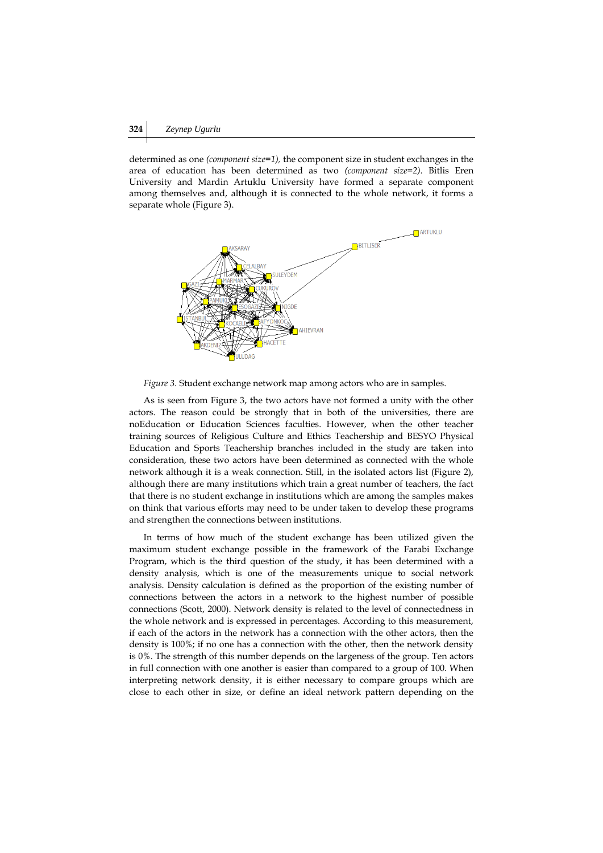determined as one *(component size=1),* the component size in student exchanges in the area of education has been determined as two *(component size=2).* Bitlis Eren University and Mardin Artuklu University have formed a separate component among themselves and, although it is connected to the whole network, it forms a separate whole (Figure 3).



*Figure 3.* Student exchange network map among actors who are in samples.

As is seen from Figure 3, the two actors have not formed a unity with the other actors. The reason could be strongly that in both of the universities, there are noEducation or Education Sciences faculties. However, when the other teacher training sources of Religious Culture and Ethics Teachership and BESYO Physical Education and Sports Teachership branches included in the study are taken into consideration, these two actors have been determined as connected with the whole network although it is a weak connection. Still, in the isolated actors list (Figure 2), although there are many institutions which train a great number of teachers, the fact that there is no student exchange in institutions which are among the samples makes on think that various efforts may need to be under taken to develop these programs and strengthen the connections between institutions.

In terms of how much of the student exchange has been utilized given the maximum student exchange possible in the framework of the Farabi Exchange Program, which is the third question of the study, it has been determined with a density analysis, which is one of the measurements unique to social network analysis. Density calculation is defined as the proportion of the existing number of connections between the actors in a network to the highest number of possible connections (Scott, 2000). Network density is related to the level of connectedness in the whole network and is expressed in percentages. According to this measurement, if each of the actors in the network has a connection with the other actors, then the density is 100%; if no one has a connection with the other, then the network density is 0%. The strength of this number depends on the largeness of the group. Ten actors in full connection with one another is easier than compared to a group of 100. When interpreting network density, it is either necessary to compare groups which are close to each other in size, or define an ideal network pattern depending on the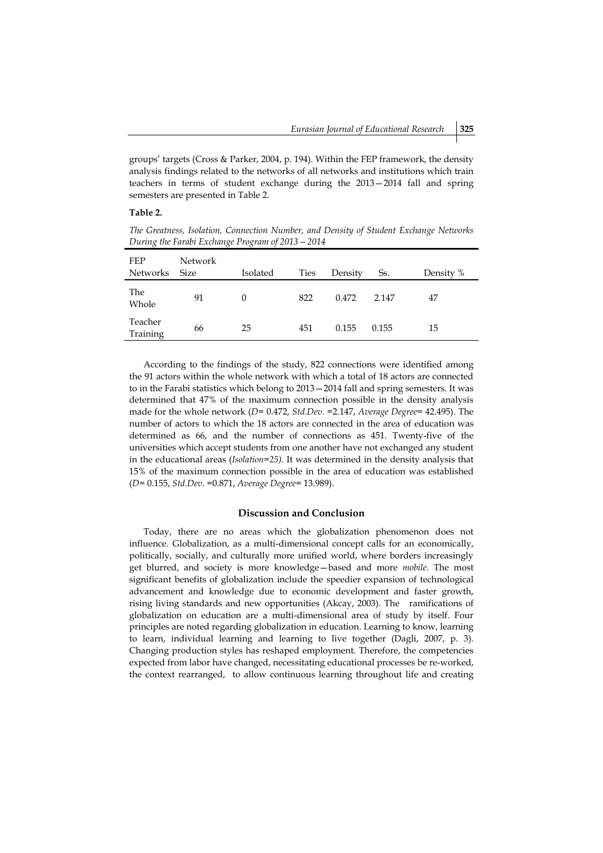groups' targets (Cross & Parker, 2004, p. 194). Within the FEP framework, the density analysis findings related to the networks of all networks and institutions which train teachers in terms of student exchange during the 2013—2014 fall and spring semesters are presented in Table 2.

#### **Table 2.**

*The Greatness, Isolation, Connection Number, and Density of Student Exchange Networks During the Farabi Exchange Program of 2013—2014* 

| FEP<br>Networks Size | <b>Network</b> | Isolated | <b>Ties</b> | Density | Ss.   | Density % |
|----------------------|----------------|----------|-------------|---------|-------|-----------|
| The<br>Whole         | 91             | $\Omega$ | 822         | 0.472   | 2.147 | 47        |
| Teacher<br>Training  | 66             | 25       | 451         | 0.155   | 0.155 | 15        |

According to the findings of the study, 822 connections were identified among the 91 actors within the whole network with which a total of 18 actors are connected to in the Farabi statistics which belong to 2013—2014 fall and spring semesters. It was determined that 47% of the maximum connection possible in the density analysis made for the whole network (*D*= 0.472, *Std.Dev. =*2.147, *Average Degree*= 42.495). The number of actors to which the 18 actors are connected in the area of education was determined as 66, and the number of connections as 451. Twenty-five of the universities which accept students from one another have not exchanged any student in the educational areas (*Isolation=25).* It was determined in the density analysis that 15% of the maximum connection possible in the area of education was established (*D*= 0.155, *Std.Dev. =*0.871, *Average Degree*= 13.989).

#### **Discussion and Conclusion**

Today, there are no areas which the globalization phenomenon does not influence. Globalization, as a multi-dimensional concept calls for an economically, politically, socially, and culturally more unified world, where borders increasingly get blurred, and society is more knowledge—based and more *mobile*. The most significant benefits of globalization include the speedier expansion of technological advancement and knowledge due to economic development and faster growth, rising living standards and new opportunities (Akcay, 2003). The ramifications of globalization on education are a multi-dimensional area of study by itself. Four principles are noted regarding globalization in education. Learning to know, learning to learn, individual learning and learning to live together (Dagli, 2007, p. 3). Changing production styles has reshaped employment. Therefore, the competencies expected from labor have changed, necessitating educational processes be re-worked, the context rearranged, to allow continuous learning throughout life and creating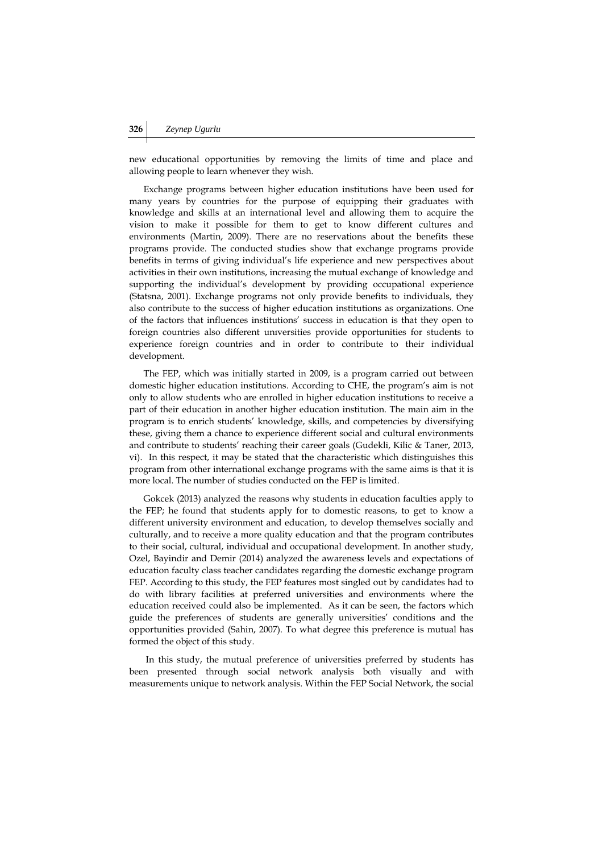new educational opportunities by removing the limits of time and place and allowing people to learn whenever they wish.

Exchange programs between higher education institutions have been used for many years by countries for the purpose of equipping their graduates with knowledge and skills at an international level and allowing them to acquire the vision to make it possible for them to get to know different cultures and environments (Martin, 2009). There are no reservations about the benefits these programs provide. The conducted studies show that exchange programs provide benefits in terms of giving individual's life experience and new perspectives about activities in their own institutions, increasing the mutual exchange of knowledge and supporting the individual's development by providing occupational experience (Statsna, 2001). Exchange programs not only provide benefits to individuals, they also contribute to the success of higher education institutions as organizations. One of the factors that influences institutions' success in education is that they open to foreign countries also different unıversities provide opportunities for students to experience foreign countries and in order to contribute to their individual development.

The FEP, which was initially started in 2009, is a program carried out between domestic higher education institutions. According to CHE, the program's aim is not only to allow students who are enrolled in higher education institutions to receive a part of their education in another higher education institution. The main aim in the program is to enrich students' knowledge, skills, and competencies by diversifying these, giving them a chance to experience different social and cultural environments and contribute to students' reaching their career goals (Gudekli, Kilic & Taner, 2013, vi). In this respect, it may be stated that the characteristic which distinguishes this program from other international exchange programs with the same aims is that it is more local. The number of studies conducted on the FEP is limited.

Gokcek (2013) analyzed the reasons why students in education faculties apply to the FEP; he found that students apply for to domestic reasons, to get to know a different university environment and education, to develop themselves socially and culturally, and to receive a more quality education and that the program contributes to their social, cultural, individual and occupational development. In another study, Ozel, Bayindir and Demir (2014) analyzed the awareness levels and expectations of education faculty class teacher candidates regarding the domestic exchange program FEP. According to this study, the FEP features most singled out by candidates had to do with library facilities at preferred universities and environments where the education received could also be implemented. As it can be seen, the factors which guide the preferences of students are generally universities' conditions and the opportunities provided (Sahin, 2007). To what degree this preference is mutual has formed the object of this study.

In this study, the mutual preference of universities preferred by students has been presented through social network analysis both visually and with measurements unique to network analysis. Within the FEP Social Network, the social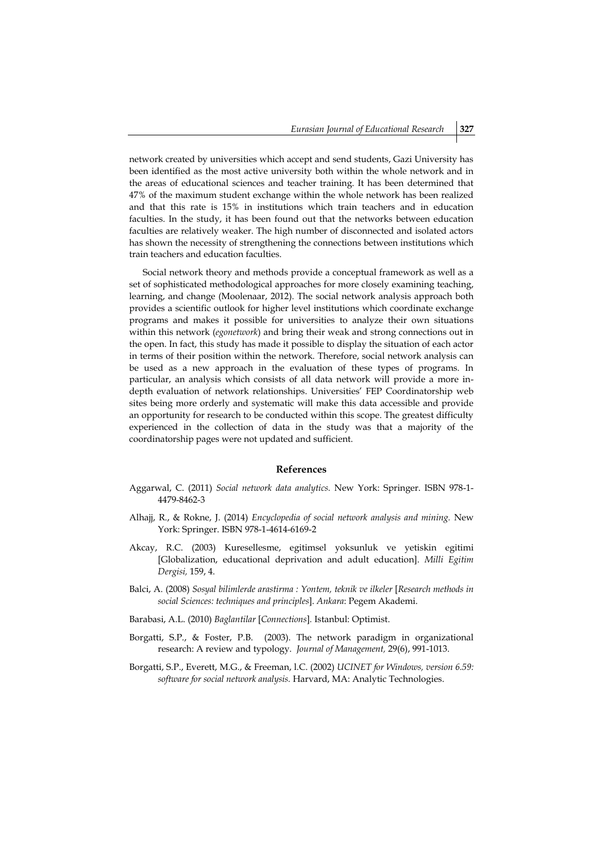network created by universities which accept and send students, Gazi University has been identified as the most active university both within the whole network and in the areas of educational sciences and teacher training. It has been determined that 47% of the maximum student exchange within the whole network has been realized and that this rate is 15% in institutions which train teachers and in education faculties. In the study, it has been found out that the networks between education faculties are relatively weaker. The high number of disconnected and isolated actors has shown the necessity of strengthening the connections between institutions which train teachers and education faculties.

 Social network theory and methods provide a conceptual framework as well as a set of sophisticated methodological approaches for more closely examining teaching, learning, and change (Moolenaar, 2012). The social network analysis approach both provides a scientific outlook for higher level institutions which coordinate exchange programs and makes it possible for universities to analyze their own situations within this network (*egonetwork*) and bring their weak and strong connections out in the open. In fact, this study has made it possible to display the situation of each actor in terms of their position within the network. Therefore, social network analysis can be used as a new approach in the evaluation of these types of programs. In particular, an analysis which consists of all data network will provide a more indepth evaluation of network relationships. Universities' FEP Coordinatorship web sites being more orderly and systematic will make this data accessible and provide an opportunity for research to be conducted within this scope. The greatest difficulty experienced in the collection of data in the study was that a majority of the coordinatorship pages were not updated and sufficient.

### **References**

- Aggarwal, C. (2011) *Social network data analytics.* New York: Springer. ISBN 978-1- 4479-8462-3
- Alhajj, R., & Rokne, J. (2014) *Encyclopedia of social network analysis and mining.* New York: Springer. ISBN 978-1-4614-6169-2
- Akcay, R.C. (2003) Kuresellesme, egitimsel yoksunluk ve yetiskin egitimi [Globalization, educational deprivation and adult education]. *Milli Egitim Dergisi,* 159, 4.
- Balci, A. (2008) *Sosyal bilimlerde arastirma : Yontem, teknik ve ilkeler* [*Research methods in social Sciences: techniques and principles*]. *Ankara*: Pegem Akademi.
- Barabasi, A.L. (2010) *Baglantilar* [*Connections*]*.* Istanbul: Optimist.
- Borgatti, S.P., & Foster, P.B. (2003). The network paradigm in organizational research: A review and typology. *Journal of Management,* 29(6), 991-1013.
- Borgatti, S.P., Everett, M.G., & Freeman, l.C. (2002) *UCINET for Windows, version 6.59: software for social network analysis.* Harvard, MA: Analytic Technologies.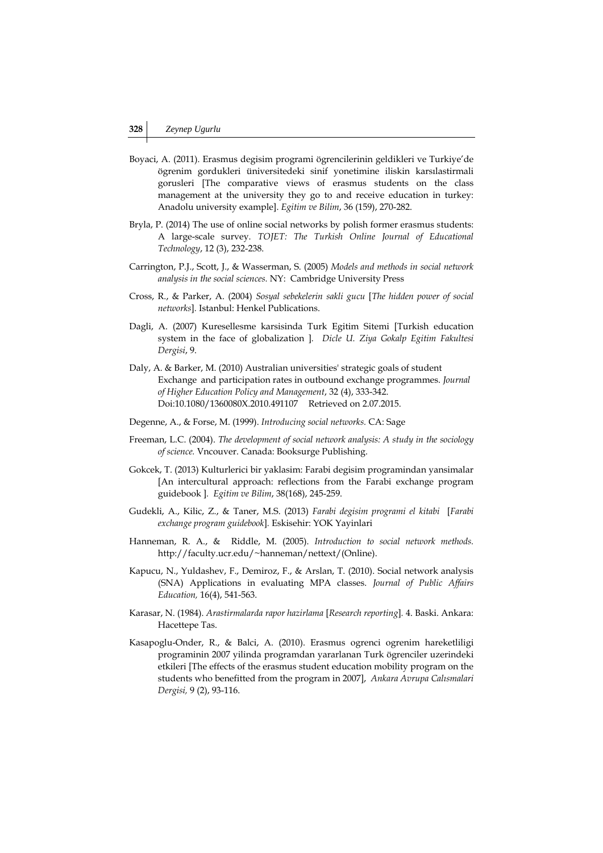- Boyaci, A. (2011). Erasmus degisim programi ögrencilerinin geldikleri ve Turkiye'de ögrenim gordukleri üniversitedeki sinif yonetimine iliskin karsılastirmali gorusleri [The comparative views of erasmus students on the class management at the university they go to and receive education in turkey: Anadolu university example]. *Egitim ve Bilim*, 36 (159), 270-282.
- Bryla, P. (2014) The use of online social networks by polish former erasmus students: A large-scale survey. *TOJET: The Turkish Online Journal of Educational Technology*, 12 (3), 232-238.
- Carrington, P.J., Scott, J., & Wasserman, S. (2005) *Models and methods in social network analysis in the social sciences.* NY: Cambridge University Press
- Cross, R., & Parker, A. (2004) *Sosyal sebekelerin sakli gucu* [*The hidden power of social networks*]*.* Istanbul: Henkel Publications.
- Dagli, A. (2007) Kuresellesme karsisinda Turk Egitim Sitemi [Turkish education system in the face of globalization ]*. Dicle U. Ziya Gokalp Egitim Fakultesi Dergisi*, 9.
- Daly, A. & Barker, M. (2010) Australian universities' strategic goals of student Exchange and participation rates in outbound exchange programmes. *Journal of Higher Education Policy and Management*, 32 (4), 333-342. Doi:10.1080/1360080X.2010.491107 Retrieved on 2.07.2015.
- Degenne, A., & Forse, M. (1999). *Introducing social networks.* CA: Sage
- Freeman, L.C. (2004). *The development of social network analysis: A study in the sociology of science.* Vncouver. Canada: Booksurge Publishing.
- Gokcek, T. (2013) Kulturlerici bir yaklasim: Farabi degisim programindan yansimalar [An intercultural approach: reflections from the Farabi exchange program guidebook ]*. Egitim ve Bilim*, 38(168), 245-259.
- Gudekli, A., Kilic, Z., & Taner, M.S. (2013) *Farabi degisim programi el kitabi* [*Farabi exchange program guidebook*]*.* Eskisehir: YOK Yayinlari
- Hanneman, R. A., & Riddle, M. (2005). *Introduction to social network methods.* http://faculty.ucr.edu/~hanneman/nettext/(Online).
- Kapucu, N., Yuldashev, F., Demiroz, F., & Arslan, T. (2010). Social network analysis (SNA) Applications in evaluating MPA classes. *Journal of Public Affairs Education,* 16(4), 541-563.
- Karasar, N. (1984). *Arastirmalarda rapor hazirlama* [*Research reporting*]*.* 4. Baski. Ankara: Hacettepe Tas.
- Kasapoglu-Onder, R., & Balci, A. (2010). Erasmus ogrenci ogrenim hareketliligi programinin 2007 yilinda programdan yararlanan Turk ögrenciler uzerindeki etkileri [The effects of the erasmus student education mobility program on the students who benefitted from the program in 2007], *Ankara Avrupa Calısmalari Dergisi,* 9 (2), 93-116.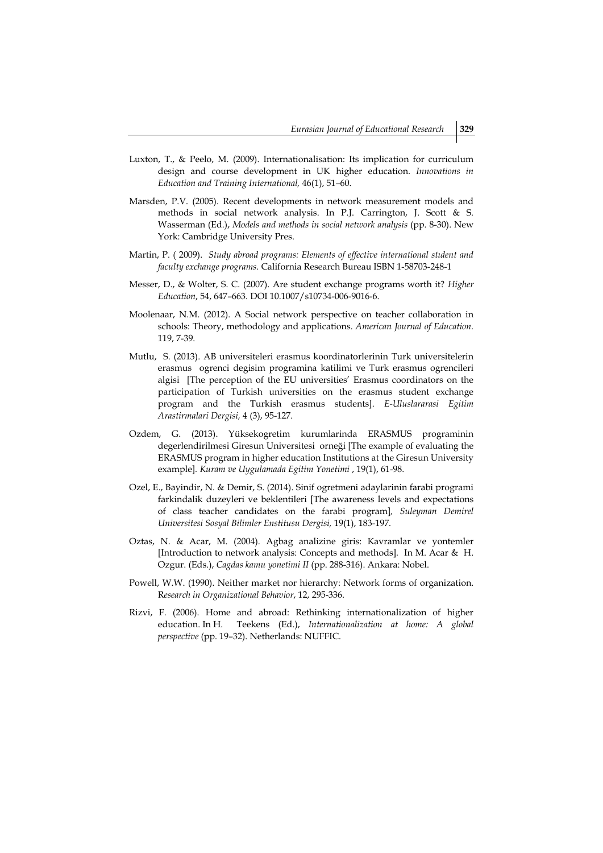- Luxton, T., & Peelo, M. (2009). Internationalisation: Its implication for curriculum design and course development in UK higher education. *Innovations in Education and Training International,* 46(1), 51–60.
- Marsden, P.V. (2005). Recent developments in network measurement models and methods in social network analysis. In P.J. Carrington, J. Scott & S. Wasserman (Ed.), *Models and methods in social network analysis* (pp. 8-30). New York: Cambridge University Pres.
- Martin, P. ( 2009). *Study abroad programs: Elements of effective international stıdent and faculty exchange programs.* California Research Bureau ISBN 1-58703-248-1
- Messer, D., & Wolter, S. C. (2007). Are student exchange programs worth it? *Higher Education*, 54, 647–663. DOI 10.1007/s10734-006-9016-6.
- Moolenaar, N.M. (2012). A Social network perspective on teacher collaboration in schools: Theory, methodology and applications. *American Journal of Education.* 119, 7-39.
- Mutlu, S. (2013). AB universiteleri erasmus koordinatorlerinin Turk universitelerin erasmus ogrenci degisim programina katilimi ve Turk erasmus ogrencileri algisi [The perception of the EU universities' Erasmus coordinators on the participation of Turkish universities on the erasmus student exchange program and the Turkish erasmus students]. *E-Uluslararasi Egitim Arastirmalari Dergisi,* 4 (3), 95-127.
- Ozdem, G. (2013). Yüksekogretim kurumlarinda ERASMUS programinin degerlendirilmesi Giresun Universitesi orneği [The example of evaluating the ERASMUS program in higher education Institutions at the Giresun University example]*. Kuram ve Uygulamada Egitim Yonetimi* , 19(1), 61-98.
- Ozel, E., Bayindir, N. & Demir, S. (2014). Sinif ogretmeni adaylarinin farabi programi farkindalik duzeyleri ve beklentileri [The awareness levels and expectations of class teacher candidates on the farabi program]*, Suleyman Demirel Universitesi Sosyal Bilimler Enstitusu Dergisi,* 19(1), 183-197.
- Oztas, N. & Acar, M. (2004). Agbag analizine giris: Kavramlar ve yontemler [Introduction to network analysis: Concepts and methods]*.* In M. Acar & H. Ozgur. (Eds.), *Cagdas kamu yonetimi II* (pp. 288-316). Ankara: Nobel.
- Powell, W.W. (1990). Neither market nor hierarchy: Network forms of organization. R*esearch in Organizational Behavior*, 12, 295-336.
- Rizvi, F. (2006). Home and abroad: Rethinking internationalization of higher education. In H. Teekens (Ed.), *Internationalization at home: A global perspective* (pp. 19–32). Netherlands: NUFFIC.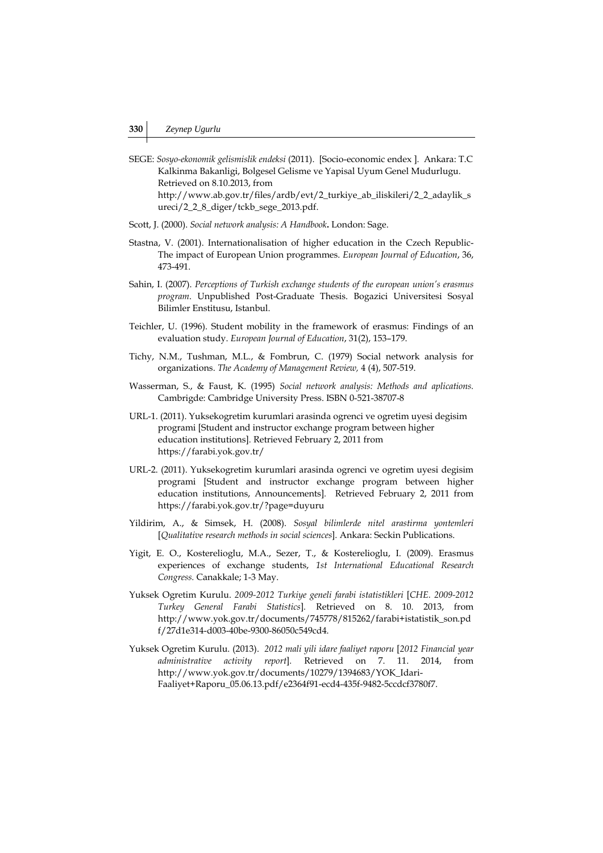- SEGE: *Sosyo-ekonomik gelismislik endeksi* (2011). [Socio-economic endex ]*.* Ankara: T.C Kalkinma Bakanligi, Bolgesel Gelisme ve Yapisal Uyum Genel Mudurlugu. Retrieved on 8.10.2013, from http://www.ab.gov.tr/files/ardb/evt/2\_turkiye\_ab\_iliskileri/2\_2\_adaylik\_s ureci/2\_2\_8\_diger/tckb\_sege\_2013.pdf.
- Scott, J. (2000). *Social network analysis: A Handbook***.** London: Sage.
- Stastna, V. (2001). Internationalisation of higher education in the Czech Republic-The impact of European Union programmes. *European Journal of Education*, 36, 473-491.
- Sahin, I. (2007). *Perceptions of Turkish exchange students of the european union's erasmus program*. Unpublished Post-Graduate Thesis. Bogazici Universitesi Sosyal Bilimler Enstitusu, Istanbul.
- Teichler, U. (1996). Student mobility in the framework of erasmus: Findings of an evaluation study. *European Journal of Education*, 31(2), 153–179.
- Tichy, N.M., Tushman, M.L., & Fombrun, C. (1979) Social network analysis for organizations. *The Academy of Management Review,* 4 (4), 507-519.
- Wasserman, S., & Faust, K. (1995) *Social network analysis: Methods and aplications.* Cambrigde: Cambridge University Press. ISBN 0-521-38707-8
- URL-1. (2011). Yuksekogretim kurumlari arasinda ogrenci ve ogretim uyesi degisim programi [Student and instructor exchange program between higher education institutions]*.* Retrieved February 2, 2011 from https://farabi.yok.gov.tr/
- URL-2. (2011). Yuksekogretim kurumlari arasinda ogrenci ve ogretim uyesi degisim programi [Student and instructor exchange program between higher education institutions, Announcements]*.* Retrieved February 2, 2011 from https://farabi.yok.gov.tr/?page=duyuru
- Yildirim, A., & Simsek, H. (2008). *Sosyal bilimlerde nitel arastirma yontemleri*  [*Qualitative research methods in social sciences*]*.* Ankara: Seckin Publications.
- Yigit, E. O., Kosterelioglu, M.A., Sezer, T., & Kosterelioglu, I. (2009). Erasmus experiences of exchange students, *1st International Educational Research Congress.* Canakkale; 1-3 May.
- Yuksek Ogretim Kurulu. *2009-2012 Turkiye geneli farabi istatistikleri* [*CHE. 2009-2012 Turkey General Farabi Statistics*]*.* Retrieved on 8. 10. 2013, from http://www.yok.gov.tr/documents/745778/815262/farabi+istatistik\_son.pd f/27d1e314-d003-40be-9300-86050c549cd4.
- Yuksek Ogretim Kurulu. (2013). *2012 mali yili idare faaliyet raporu* [*2012 Financial year administrative activity report*]*.* Retrieved on 7. 11. 2014, from [http://www.yok.gov.tr/documents/10279/1394683/YOK\\_Idari-](ttp://www.yok.gov.tr/documents/10279/1394683/YOK_Idari-F)[Fa](ttp://www.yok.gov.tr/documents/10279/1394683/YOK_Idari-F)aliyet+Raporu\_05.06.13.pdf/e2364f91-ecd4-435f-9482-5ccdcf3780f7.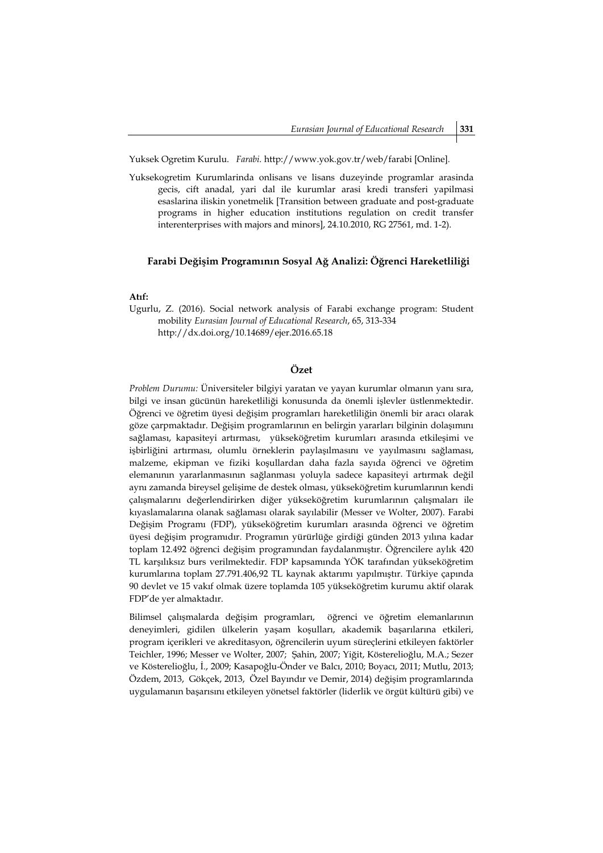Yuksek Ogretim Kurulu. *Farabi.* http://www.yok.gov.tr/web/farabi [Online]*.*

Yuksekogretim Kurumlarinda onlisans ve lisans duzeyinde programlar arasinda gecis, cift anadal, yari dal ile kurumlar arasi kredi transferi yapilmasi esaslarina iliskin yonetmelik [Transition between graduate and post-graduate programs in higher education institutions regulation on credit transfer interenterprises with majors and minors], 24.10.2010, RG 27561, md. 1-2).

# **Farabi Değişim Programının Sosyal Ağ Analizi: Öğrenci Hareketliliği**

### **Atıf:**

Ugurlu, Z. (2016). Social network analysis of Farabi exchange program: Student mobility *Eurasian Journal of Educational Research*, 65, 313-334 http://dx.doi.org/10.14689/ejer.2016.65.18

## **Özet**

*Problem Durumu:* Üniversiteler bilgiyi yaratan ve yayan kurumlar olmanın yanı sıra, bilgi ve insan gücünün hareketliliği konusunda da önemli işlevler üstlenmektedir. Öğrenci ve öğretim üyesi değişim programları hareketliliğin önemli bir aracı olarak göze çarpmaktadır. Değişim programlarının en belirgin yararları bilginin dolaşımını sağlaması, kapasiteyi artırması, yükseköğretim kurumları arasında etkileşimi ve işbirliğini artırması, olumlu örneklerin paylaşılmasını ve yayılmasını sağlaması, malzeme, ekipman ve fiziki koşullardan daha fazla sayıda öğrenci ve öğretim elemanının yararlanmasının sağlanması yoluyla sadece kapasiteyi artırmak değil aynı zamanda bireysel gelişime de destek olması, yükseköğretim kurumlarının kendi çalışmalarını değerlendirirken diğer yükseköğretim kurumlarının çalışmaları ile kıyaslamalarına olanak sağlaması olarak sayılabilir (Messer ve Wolter, 2007). Farabi Değişim Programı (FDP), yükseköğretim kurumları arasında öğrenci ve öğretim üyesi değişim programıdır. Programın yürürlüğe girdiği günden 2013 yılına kadar toplam 12.492 öğrenci değişim programından faydalanmıştır. Öğrencilere aylık 420 TL karşılıksız burs verilmektedir. FDP kapsamında YÖK tarafından yükseköğretim kurumlarına toplam 27.791.406,92 TL kaynak aktarımı yapılmıştır. Türkiye çapında 90 devlet ve 15 vakıf olmak üzere toplamda 105 yükseköğretim kurumu aktif olarak FDP'de yer almaktadır.

Bilimsel çalışmalarda değişim programları, öğrenci ve öğretim elemanlarının deneyimleri, gidilen ülkelerin yaşam koşulları, akademik başarılarına etkileri, program içerikleri ve akreditasyon, öğrencilerin uyum süreçlerini etkileyen faktörler Teichler, 1996; Messer ve Wolter, 2007; Şahin, 2007; Yiğit, Kösterelioğlu, M.A.; Sezer ve Kösterelioğlu, İ., 2009; Kasapoğlu-Önder ve Balcı, 2010; Boyacı, 2011; Mutlu, 2013; Özdem, 2013, Gökçek, 2013, Özel Bayındır ve Demir, 2014) değişim programlarında uygulamanın başarısını etkileyen yönetsel faktörler (liderlik ve örgüt kültürü gibi) ve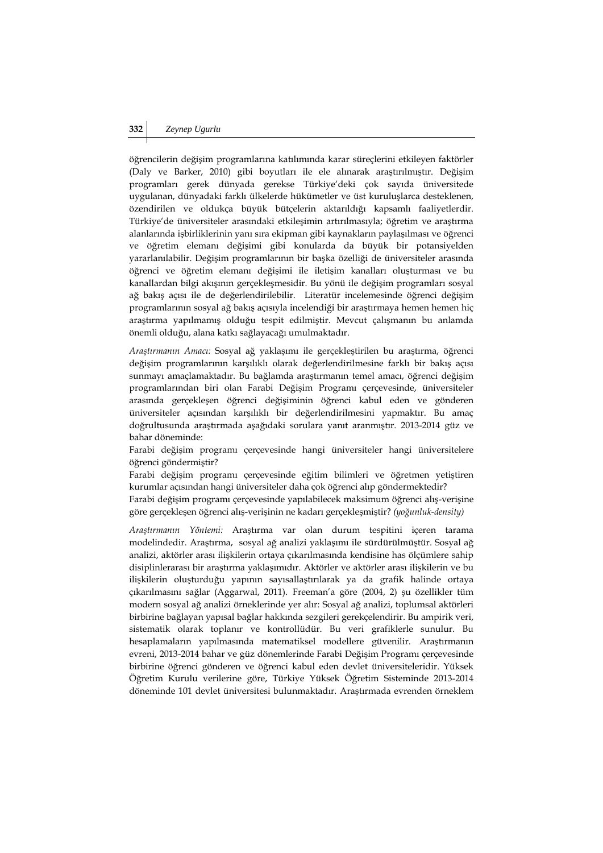öğrencilerin değişim programlarına katılımında karar süreçlerini etkileyen faktörler (Daly ve Barker, 2010) gibi boyutları ile ele alınarak araştırılmıştır. Değişim programları gerek dünyada gerekse Türkiye'deki çok sayıda üniversitede uygulanan, dünyadaki farklı ülkelerde hükümetler ve üst kuruluşlarca desteklenen, özendirilen ve oldukça büyük bütçelerin aktarıldığı kapsamlı faaliyetlerdir. Türkiye'de üniversiteler arasındaki etkileşimin artırılmasıyla; öğretim ve araştırma alanlarında işbirliklerinin yanı sıra ekipman gibi kaynakların paylaşılması ve öğrenci ve öğretim elemanı değişimi gibi konularda da büyük bir potansiyelden yararlanılabilir. Değişim programlarının bir başka özelliği de üniversiteler arasında öğrenci ve öğretim elemanı değişimi ile iletişim kanalları oluşturması ve bu kanallardan bilgi akışının gerçekleşmesidir. Bu yönü ile değişim programları sosyal ağ bakış açısı ile de değerlendirilebilir. Literatür incelemesinde öğrenci değişim programlarının sosyal ağ bakış açısıyla incelendiği bir araştırmaya hemen hemen hiç araştırma yapılmamış olduğu tespit edilmiştir. Mevcut çalışmanın bu anlamda önemli olduğu, alana katkı sağlayacağı umulmaktadır.

*Araştırmanın Amacı:* Sosyal ağ yaklaşımı ile gerçekleştirilen bu araştırma, öğrenci değişim programlarının karşılıklı olarak değerlendirilmesine farklı bir bakış açısı sunmayı amaçlamaktadır. Bu bağlamda araştırmanın temel amacı, öğrenci değişim programlarından biri olan Farabi Değişim Programı çerçevesinde, üniversiteler arasında gerçekleşen öğrenci değişiminin öğrenci kabul eden ve gönderen üniversiteler açısından karşılıklı bir değerlendirilmesini yapmaktır. Bu amaç doğrultusunda araştırmada aşağıdaki sorulara yanıt aranmıştır. 2013-2014 güz ve bahar döneminde:

Farabi değişim programı çerçevesinde hangi üniversiteler hangi üniversitelere öğrenci göndermiştir?

Farabi değişim programı çerçevesinde eğitim bilimleri ve öğretmen yetiştiren kurumlar açısından hangi üniversiteler daha çok öğrenci alıp göndermektedir?

Farabi değişim programı çerçevesinde yapılabilecek maksimum öğrenci alış-verişine göre gerçekleşen öğrenci alış-verişinin ne kadarı gerçekleşmiştir? *(yoğunluk-density)*

*Araştırmanın Yöntemi:* Araştırma var olan durum tespitini içeren tarama modelindedir. Araştırma, sosyal ağ analizi yaklaşımı ile sürdürülmüştür. Sosyal ağ analizi, aktörler arası ilişkilerin ortaya çıkarılmasında kendisine has ölçümlere sahip disiplinlerarası bir araştırma yaklaşımıdır. Aktörler ve aktörler arası ilişkilerin ve bu ilişkilerin oluşturduğu yapının sayısallaştırılarak ya da grafik halinde ortaya çıkarılmasını sağlar (Aggarwal, 2011). Freeman'a göre (2004, 2) şu özellikler tüm modern sosyal ağ analizi örneklerinde yer alır: Sosyal ağ analizi, toplumsal aktörleri birbirine bağlayan yapısal bağlar hakkında sezgileri gerekçelendirir. Bu ampirik veri, sistematik olarak toplanır ve kontrollüdür. Bu veri grafiklerle sunulur. Bu hesaplamaların yapılmasında matematiksel modellere güvenilir. Araştırmanın evreni, 2013-2014 bahar ve güz dönemlerinde Farabi Değişim Programı çerçevesinde birbirine öğrenci gönderen ve öğrenci kabul eden devlet üniversiteleridir. Yüksek Öğretim Kurulu verilerine göre, Türkiye Yüksek Öğretim Sisteminde 2013-2014 döneminde 101 devlet üniversitesi bulunmaktadır. Araştırmada evrenden örneklem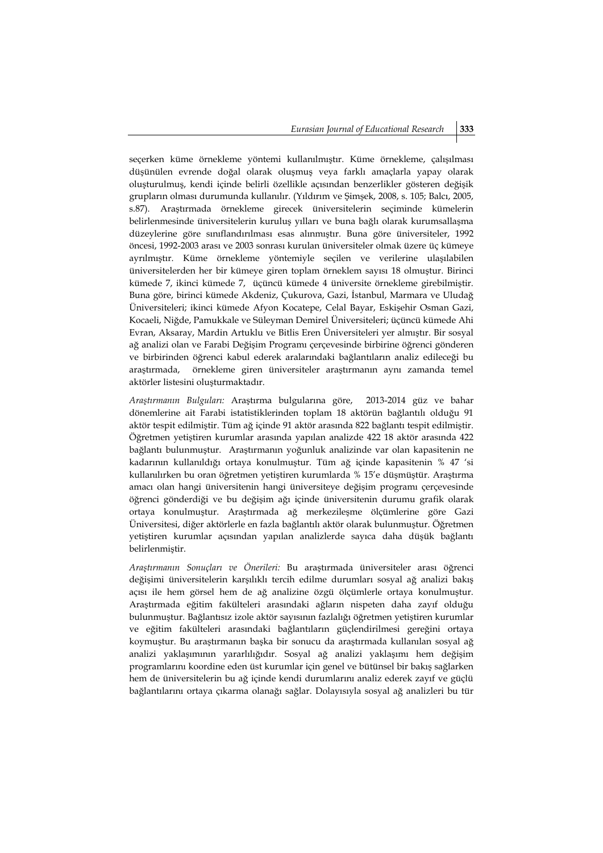seçerken küme örnekleme yöntemi kullanılmıştır. Küme örnekleme, çalışılması düşünülen evrende doğal olarak oluşmuş veya farklı amaçlarla yapay olarak oluşturulmuş, kendi içinde belirli özellikle açısından benzerlikler gösteren değişik grupların olması durumunda kullanılır. (Yıldırım ve Şimşek, 2008, s. 105; Balcı, 2005, s.87). Araştırmada örnekleme girecek üniversitelerin seçiminde kümelerin belirlenmesinde üniversitelerin kuruluş yılları ve buna bağlı olarak kurumsallaşma düzeylerine göre sınıflandırılması esas alınmıştır. Buna göre üniversiteler, 1992 öncesi, 1992-2003 arası ve 2003 sonrası kurulan üniversiteler olmak üzere üç kümeye ayrılmıştır. Küme örnekleme yöntemiyle seçilen ve verilerine ulaşılabilen üniversitelerden her bir kümeye giren toplam örneklem sayısı 18 olmuştur. Birinci kümede 7, ikinci kümede 7, üçüncü kümede 4 üniversite örnekleme girebilmiştir. Buna göre, birinci kümede Akdeniz, Çukurova, Gazi, İstanbul, Marmara ve Uludağ Üniversiteleri; ikinci kümede Afyon Kocatepe, Celal Bayar, Eskişehir Osman Gazi, Kocaeli, Niğde, Pamukkale ve Süleyman Demirel Üniversiteleri; üçüncü kümede Ahi Evran, Aksaray, Mardin Artuklu ve Bitlis Eren Üniversiteleri yer almıştır. Bir sosyal ağ analizi olan ve Farabi Değişim Programı çerçevesinde birbirine öğrenci gönderen ve birbirinden öğrenci kabul ederek aralarındaki bağlantıların analiz edileceği bu araştırmada, örnekleme giren üniversiteler araştırmanın aynı zamanda temel aktörler listesini oluşturmaktadır.

*Araştırmanın Bulguları:* Araştırma bulgularına göre, 2013-2014 güz ve bahar dönemlerine ait Farabi istatistiklerinden toplam 18 aktörün bağlantılı olduğu 91 aktör tespit edilmiştir. Tüm ağ içinde 91 aktör arasında 822 bağlantı tespit edilmiştir. Öğretmen yetiştiren kurumlar arasında yapılan analizde 422 18 aktör arasında 422 bağlantı bulunmuştur. Araştırmanın yoğunluk analizinde var olan kapasitenin ne kadarının kullanıldığı ortaya konulmuştur. Tüm ağ içinde kapasitenin % 47 'si kullanılırken bu oran öğretmen yetiştiren kurumlarda % 15'e düşmüştür. Araştırma amacı olan hangi üniversitenin hangi üniversiteye değişim programı çerçevesinde öğrenci gönderdiği ve bu değişim ağı içinde üniversitenin durumu grafik olarak ortaya konulmuştur. Araştırmada ağ merkezileşme ölçümlerine göre Gazi Üniversitesi, diğer aktörlerle en fazla bağlantılı aktör olarak bulunmuştur. Öğretmen yetiştiren kurumlar açısından yapılan analizlerde sayıca daha düşük bağlantı belirlenmiştir.

*Araştırmanın Sonuçları ve Önerileri:* Bu araştırmada üniversiteler arası öğrenci değişimi üniversitelerin karşılıklı tercih edilme durumları sosyal ağ analizi bakış açısı ile hem görsel hem de ağ analizine özgü ölçümlerle ortaya konulmuştur. Araştırmada eğitim fakülteleri arasındaki ağların nispeten daha zayıf olduğu bulunmuştur. Bağlantısız izole aktör sayısının fazlalığı öğretmen yetiştiren kurumlar ve eğitim fakülteleri arasındaki bağlantıların güçlendirilmesi gereğini ortaya koymuştur. Bu araştırmanın başka bir sonucu da araştırmada kullanılan sosyal ağ analizi yaklaşımının yararlılığıdır. Sosyal ağ analizi yaklaşımı hem değişim programlarını koordine eden üst kurumlar için genel ve bütünsel bir bakış sağlarken hem de üniversitelerin bu ağ içinde kendi durumlarını analiz ederek zayıf ve güçlü bağlantılarını ortaya çıkarma olanağı sağlar. Dolayısıyla sosyal ağ analizleri bu tür